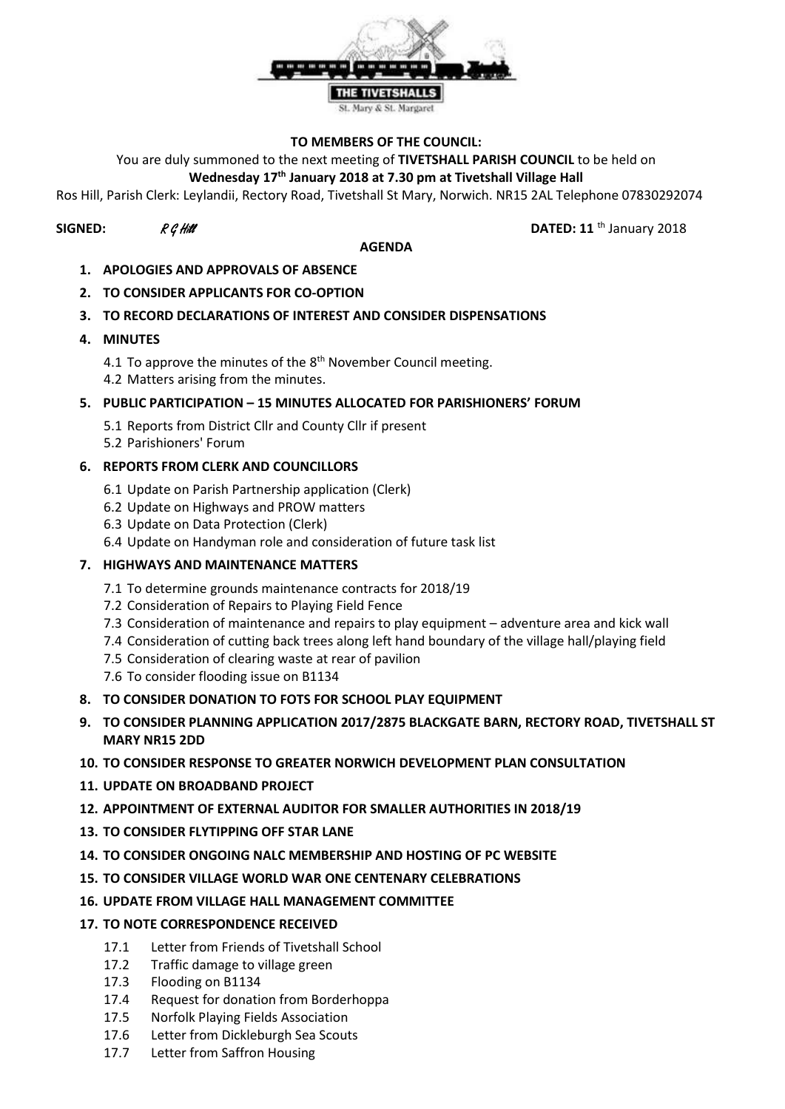

## **TO MEMBERS OF THE COUNCIL:**

You are duly summoned to the next meeting of **TIVETSHALL PARISH COUNCIL** to be held on

# **Wednesday 17th January 2018 at 7.30 pm at Tivetshall Village Hall**

Ros Hill, Parish Clerk: Leylandii, Rectory Road, Tivetshall St Mary, Norwich. NR15 2AL Telephone 07830292074

#### **AGENDA**

**SIGNED:**  $R G H \mathcal{U}$  **DATED: 11** th January 2018

- **1. APOLOGIES AND APPROVALS OF ABSENCE**
- **2. TO CONSIDER APPLICANTS FOR CO-OPTION**

# **3. TO RECORD DECLARATIONS OF INTEREST AND CONSIDER DISPENSATIONS**

- **4. MINUTES**
	- 4.1 To approve the minutes of the  $8^{\text{th}}$  November Council meeting. 4.2 Matters arising from the minutes.

# **5. PUBLIC PARTICIPATION – 15 MINUTES ALLOCATED FOR PARISHIONERS' FORUM**

- 5.1 Reports from District Cllr and County Cllr if present
- 5.2 Parishioners' Forum

# **6. REPORTS FROM CLERK AND COUNCILLORS**

- 6.1 Update on Parish Partnership application (Clerk)
- 6.2 Update on Highways and PROW matters
- 6.3 Update on Data Protection (Clerk)
- 6.4 Update on Handyman role and consideration of future task list

#### **7. HIGHWAYS AND MAINTENANCE MATTERS**

- 7.1 To determine grounds maintenance contracts for 2018/19
- 7.2 Consideration of Repairs to Playing Field Fence
- 7.3 Consideration of maintenance and repairs to play equipment adventure area and kick wall
- 7.4 Consideration of cutting back trees along left hand boundary of the village hall/playing field
- 7.5 Consideration of clearing waste at rear of pavilion
- 7.6 To consider flooding issue on B1134
- **8. TO CONSIDER DONATION TO FOTS FOR SCHOOL PLAY EQUIPMENT**
- **9. TO CONSIDER PLANNING APPLICATION 2017/2875 BLACKGATE BARN, RECTORY ROAD, TIVETSHALL ST MARY NR15 2DD**
- **10. TO CONSIDER RESPONSE TO GREATER NORWICH DEVELOPMENT PLAN CONSULTATION**
- **11. UPDATE ON BROADBAND PROJECT**
- **12. APPOINTMENT OF EXTERNAL AUDITOR FOR SMALLER AUTHORITIES IN 2018/19**
- **13. TO CONSIDER FLYTIPPING OFF STAR LANE**
- **14. TO CONSIDER ONGOING NALC MEMBERSHIP AND HOSTING OF PC WEBSITE**
- **15. TO CONSIDER VILLAGE WORLD WAR ONE CENTENARY CELEBRATIONS**
- **16. UPDATE FROM VILLAGE HALL MANAGEMENT COMMITTEE**
- **17. TO NOTE CORRESPONDENCE RECEIVED**
	- 17.1 Letter from Friends of Tivetshall School
	- 17.2 Traffic damage to village green
	- 17.3 Flooding on B1134
	- 17.4 Request for donation from Borderhoppa
	- 17.5 Norfolk Playing Fields Association
	- 17.6 Letter from Dickleburgh Sea Scouts
	- 17.7 Letter from Saffron Housing